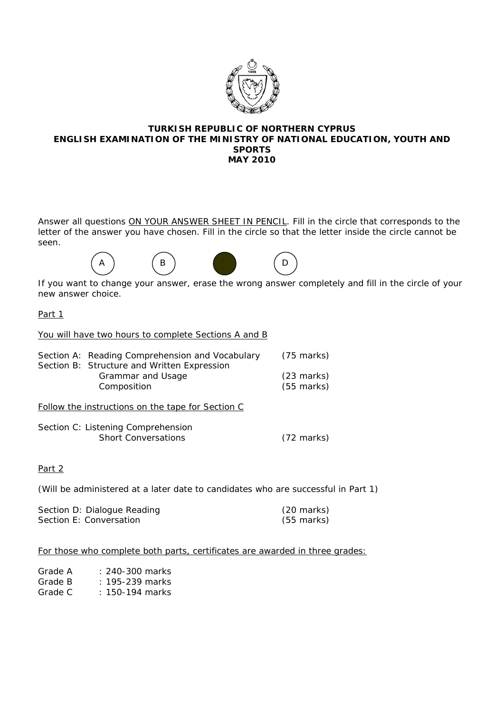

#### **TURKISH REPUBLIC OF NORTHERN CYPRUS ENGLISH EXAMINATION OF THE MINISTRY OF NATIONAL EDUCATION, YOUTH AND SPORTS MAY 2010**

Answer all questions ON YOUR ANSWER SHEET IN PENCIL. Fill in the circle that corresponds to the letter of the answer you have chosen. Fill in the circle so that the letter inside the circle cannot be seen.



If you want to change your answer, erase the wrong answer completely and fill in the circle of your new answer choice.

Part 1

You will have two hours to complete Sections A and B

| Section A: Reading Comprehension and Vocabulary | (75 marks)           |
|-------------------------------------------------|----------------------|
| Section B: Structure and Written Expression     |                      |
| Grammar and Usage                               | $(23 \text{ marks})$ |
| Composition                                     | $(55 \text{ marks})$ |
|                                                 |                      |

Follow the instructions on the tape for Section C

| Section C: Listening Comprehension |                      |
|------------------------------------|----------------------|
| <b>Short Conversations</b>         | $(72 \text{ marks})$ |

# Part 2

(Will be administered at a later date to candidates who are successful in Part 1)

| Section D: Dialogue Reading | (20 marks) |
|-----------------------------|------------|
| Section E: Conversation     | (55 marks) |

## For those who complete both parts, certificates are awarded in three grades:

| Grade A | $: 240-300$ marks   |
|---------|---------------------|
| Grade B | : $195 - 239$ marks |
|         |                     |

Grade C : 150-194 marks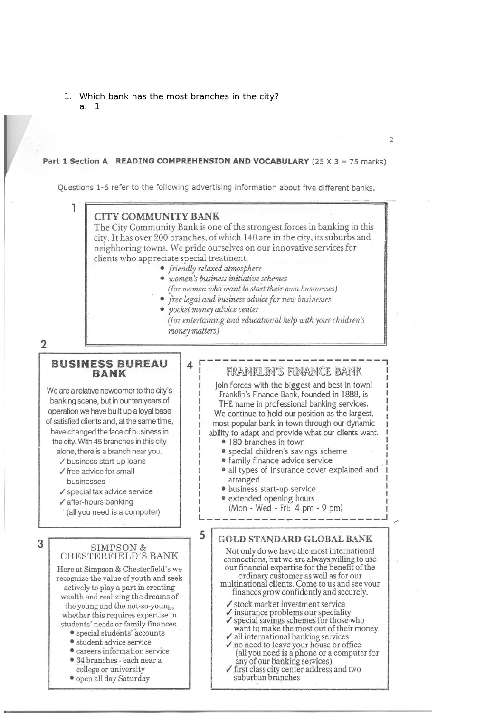1. Which bank has the most branches in the city? a. 1

#### Part 1 Section A READING COMPREHENSION AND VOCABULARY (25 X 3 = 75 marks)

Questions 1-6 refer to the following advertising information about five different banks.

## **CITY COMMUNITY BANK**

The City Community Bank is one of the strongest forces in banking in this city. It has over 200 branches, of which 140 are in the city, its suburbs and neighboring towns. We pride ourselves on our innovative services for clients who appreciate special treatment.

• friendly relaxed atmosphere

 $\Lambda$ 

5

- · women's business initiative schemes (for women who want to start their own businesses)
- free legal and business advice for new businesses
- pocket money advice center (for entertaining and educational help with your children's money matters)

 $\overline{2}$ 

3

#### **BUSINESS BUREAU BANK**

We are a relative newcomer to the city's banking scene, but in our ten years of operation we have built up a loyal base of satisfied clients and, at the same time, have changed the face of business in the city. With 45 branches in this city alone, there is a branch near you.

√ business start-up loans

- $\checkmark$  free advice for small husinesses
- $\checkmark$  special tax advice service
- $\checkmark$  after-hours banking

(all you need is a computer)

# $\begin{array}{c} \texttt{SIMPSON} \ \& \\ \texttt{CHESTERFIELD'S BANK} \end{array}$

Here at Simpson & Chesterfield's we recognize the value of youth and seek actively to play a part in creating wealth and realizing the dreams of the young and the not-so-young, whether this requires expertise in students' needs or family finances.

- · special students' accounts
- student advice service
- · careers information service
- · 34 branches each near a
- college or university
- · open all day Saturday

# FRANKLIN'S FINANCE BANK

Join forces with the biggest and best in town! Franklin's Finance Bank, founded in 1888, is THE name in professional banking services. We continue to hold our position as the largest. most popular bank in town through our dynamic

ability to adapt and provide what our clients want. • 180 branches in town

- · special children's savings scheme
- family finance advice service
- · all types of insurance cover explained and arranged
- · business start-up service
- extended opening hours

(Mon - Wed - Fri: 4 pm - 9 pm)

# **GOLD STANDARD GLOBAL BANK**

Not only do we have the most international connections, but we are always willing to use our financial expertise for the benefit of the ordinary customer as well as for our<br>multinational clients. Come to us and see your finances grow confidently and securely.

- $\checkmark$  stock market investment service
- $\checkmark$  insurance problems our speciality
- special savings schemes for those who
- want to make the most out of their money  $\checkmark$  all international banking services
- √ no need to leave your house or office (all you need is a phone or a computer for
- any of our banking services)
- √ first class city center address and two suburban branches

 $\overline{2}$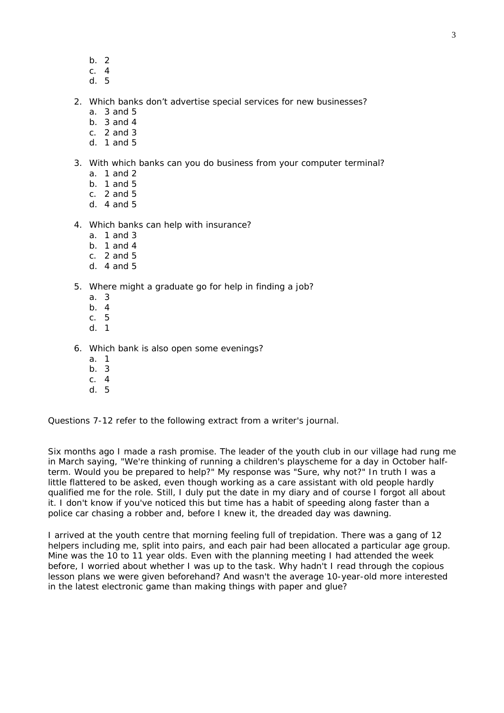- b. 2
- c. 4 d. 5
- 

2. Which banks don't advertise special services for new businesses?

- a. 3 and 5
- b. 3 and 4
- c. 2 and 3
- d. 1 and 5

#### 3. With which banks can you do business from your computer terminal?

- a. 1 and 2
- $h$  1 and 5
- c. 2 and 5
- d. 4 and 5

#### 4. Which banks can help with insurance?

- a. 1 and 3
- b. 1 and 4
- c. 2 and 5
- d  $4$  and  $5$

#### 5. Where might a graduate go for help in finding a job?

- a. 3
- b. 4
- c. 5
- d. 1

#### 6. Which bank is also open some evenings?

- a. 1
- b. 3
- c. 4
- d. 5

Questions 7-12 refer to the following extract from a writer's journal.

Six months ago I made a rash promise. The leader of the youth club in our village had rung me in March saying, "We're thinking of running a children's playscheme for a day in October halfterm. Would you be prepared to help?" My response was "Sure, why not?" In truth I was a little flattered to be asked, even though working as a care assistant with old people hardly qualified me for the role. Still, I duly put the date in my diary and of course I forgot all about it. I don't know if you've noticed this but time has a habit of speeding along faster than a police car chasing a robber and, before I knew it, the dreaded day was dawning.

I arrived at the youth centre that morning feeling full of trepidation. There was a gang of 12 helpers including me, split into pairs, and each pair had been allocated a particular age group. Mine was the 10 to 11 year olds. Even with the planning meeting I had attended the week before, I worried about whether I was up to the task. Why hadn't I read through the copious lesson plans we were given beforehand? And wasn't the average 10-year-old more interested in the latest electronic game than making things with paper and glue?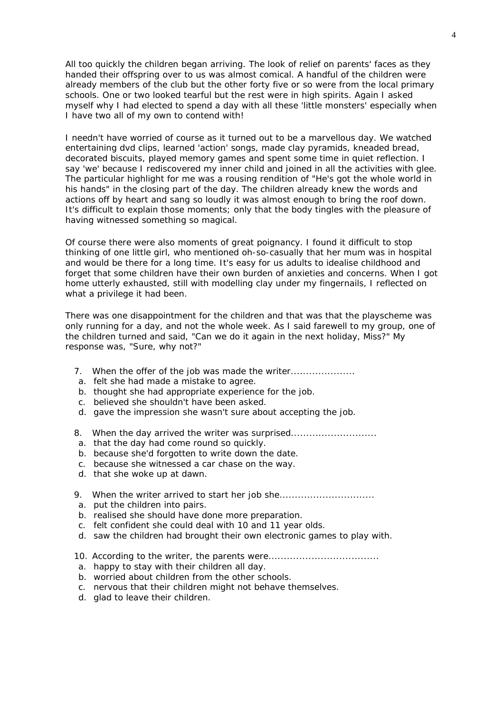All too quickly the children began arriving. The look of relief on parents' faces as they handed their offspring over to us was almost comical. A handful of the children were already members of the club but the other forty five or so were from the local primary schools. One or two looked tearful but the rest were in high spirits. Again I asked myself why I had elected to spend a day with all these 'little monsters' especially when I have two all of my own to contend with!

I needn't have worried of course as it turned out to be a marvellous day. We watched entertaining dvd clips, learned 'action' songs, made clay pyramids, kneaded bread, decorated biscuits, played memory games and spent some time in quiet reflection. I say 'we' because I rediscovered my inner child and joined in all the activities with glee. The particular highlight for me was a rousing rendition of "He's got the whole world in his hands" in the closing part of the day. The children already knew the words and actions off by heart and sang so loudly it was almost enough to bring the roof down. It's difficult to explain those moments; only that the body tingles with the pleasure of having witnessed something so magical.

Of course there were also moments of great poignancy. I found it difficult to stop thinking of one little girl, who mentioned oh-so-casually that her mum was in hospital and would be there for a long time. It's easy for us adults to idealise childhood and forget that some children have their own burden of anxieties and concerns. When I got home utterly exhausted, still with modelling clay under my fingernails, I reflected on what a privilege it had been.

There was one disappointment for the children and that was that the playscheme was only running for a day, and not the whole week. As I said farewell to my group, one of the children turned and said, "Can we do it again in the next holiday, Miss?" My response was, "Sure, why not?"

- 7. When the offer of the job was made the writer.....................
- a. felt she had made a mistake to agree.
- b. thought she had appropriate experience for the job.
- c. believed she shouldn't have been asked.
- d. gave the impression she wasn't sure about accepting the job.
- 8. When the day arrived the writer was surprised...........................
- a. that the day had come round so quickly.
- b. because she'd forgotten to write down the date.
- c. because she witnessed a car chase on the way.
- d. that she woke up at dawn.
- 9. When the writer arrived to start her job she.................................
- a. put the children into pairs.
- b. realised she should have done more preparation.
- c. felt confident she could deal with 10 and 11 year olds.
- d. saw the children had brought their own electronic games to play with.
- 10. According to the writer, the parents were....................................
- a. happy to stay with their children all day.
- b. worried about children from the other schools.
- c. nervous that their children might not behave themselves.
- d. glad to leave their children.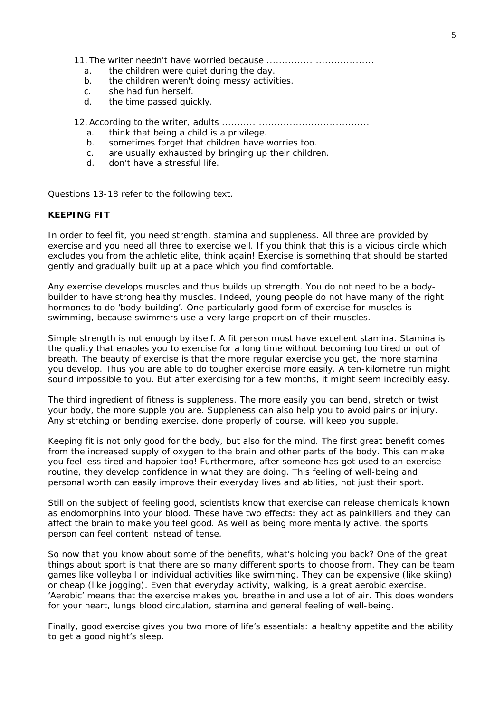11. The writer needn't have worried because ...................................

- a. the children were quiet during the day.
- b. the children weren't doing messy activities.
- c. she had fun herself.
- d. the time passed quickly.

12.According to the writer, adults ................................................

- a. think that being a child is a privilege.
- b. sometimes forget that children have worries too.
- c. are usually exhausted by bringing up their children.
- d. don't have a stressful life.

Questions 13-18 refer to the following text.

#### **KEEPING FIT**

In order to feel fit, you need strength, stamina and suppleness. All three are provided by exercise and you need all three to exercise well. If you think that this is a vicious circle which excludes you from the athletic elite, think again! Exercise is something that should be started gently and gradually built up at a pace which you find comfortable.

Any exercise develops muscles and thus builds up strength. You do not need to be a bodybuilder to have strong healthy muscles. Indeed, young people do not have many of the right hormones to do 'body-building'. One particularly good form of exercise for muscles is swimming, because swimmers use a very large proportion of their muscles.

Simple strength is not enough by itself. A fit person must have excellent stamina. Stamina is the quality that enables you to exercise for a long time without becoming too tired or out of breath. The beauty of exercise is that the more regular exercise you get, the more stamina you develop. Thus you are able to do tougher exercise more easily. A ten-kilometre run might sound impossible to you. But after exercising for a few months, it might seem incredibly easy.

The third ingredient of fitness is suppleness. The more easily you can bend, stretch or twist your body, the more supple you are. Suppleness can also help you to avoid pains or injury. Any stretching or bending exercise, done properly of course, will keep you supple.

Keeping fit is not only good for the body, but also for the mind. The first great benefit comes from the increased supply of oxygen to the brain and other parts of the body. This can make you feel less tired and happier too! Furthermore, after someone has got used to an exercise routine, they develop confidence in what they are doing. This feeling of well-being and personal worth can easily improve their everyday lives and abilities, not just their sport.

Still on the subject of feeling good, scientists know that exercise can release chemicals known as endomorphins into your blood. These have two effects: they act as painkillers and they can affect the brain to make you feel good. As well as being more mentally active, the sports person can feel content instead of tense.

So now that you know about some of the benefits, what's holding you back? One of the great things about sport is that there are so many different sports to choose from. They can be team games like volleyball or individual activities like swimming. They can be expensive (like skiing) or cheap (like jogging). Even that everyday activity, walking, is a great aerobic exercise. 'Aerobic' means that the exercise makes you breathe in and use a lot of air. This does wonders for your heart, lungs blood circulation, stamina and general feeling of well-being.

Finally, good exercise gives you two more of life's essentials: a healthy appetite and the ability to get a good night's sleep.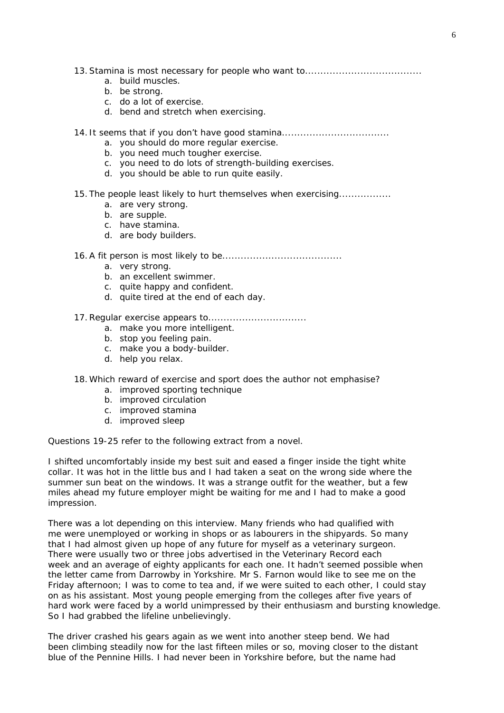- 13.Stamina is most necessary for people who want to......................................
	- a. build muscles.
	- b. be strong.
	- c. do a lot of exercise.
	- d. bend and stretch when exercising.
- 14. It seems that if you don't have good stamina.................................
	- a. you should do more regular exercise.
	- b. you need much tougher exercise.
	- c. you need to do lots of strength-building exercises.
	- d. you should be able to run quite easily.
- 15. The people least likely to hurt themselves when exercising.................
	- a. are very strong.
	- b. are supple.
	- c. have stamina.
	- d. are body builders.
- 16.A fit person is most likely to be.......................................
	- a. very strong.
	- b. an excellent swimmer.
	- c. quite happy and confident.
	- d. quite tired at the end of each day.
- 17.Regular exercise appears to................................
	- a. make you more intelligent.
	- b. stop you feeling pain.
	- c. make you a body-builder.
	- d. help you relax.
- 18.Which reward of exercise and sport does the author not emphasise?
	- a. improved sporting technique
	- b. improved circulation
	- c. improved stamina
	- d. improved sleep

Questions 19-25 refer to the following extract from a novel.

I shifted uncomfortably inside my best suit and eased a finger inside the tight white collar. It was hot in the little bus and I had taken a seat on the wrong side where the summer sun beat on the windows. It was a strange outfit for the weather, but a few miles ahead my future employer might be waiting for me and I had to make a good impression.

There was a lot depending on this interview. Many friends who had qualified with me were unemployed or working in shops or as labourers in the shipyards. So many that I had almost given up hope of any future for myself as a veterinary surgeon. There were usually two or three jobs advertised in the *Veterinary Record* each week and an average of eighty applicants for each one. It hadn't seemed possible when the letter came from Darrowby in Yorkshire. Mr S. Farnon would like to see me on the Friday afternoon; I was to come to tea and, if we were suited to each other, I could stay on as his assistant. Most young people emerging from the colleges after five years of hard work were faced by a world unimpressed by their enthusiasm and bursting knowledge. So I had grabbed the lifeline unbelievingly.

The driver crashed his gears again as we went into another steep bend. We had been climbing steadily now for the last fifteen miles or so, moving closer to the distant blue of the Pennine Hills. I had never been in Yorkshire before, but the name had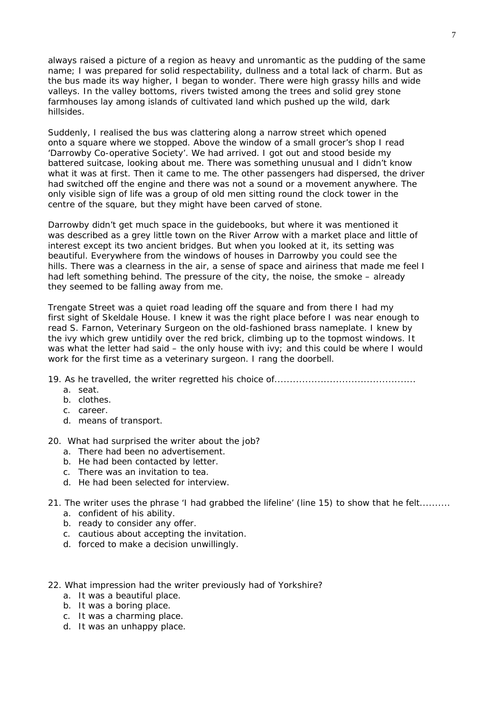always raised a picture of a region as heavy and unromantic as the pudding of the same name; I was prepared for solid respectability, dullness and a total lack of charm. But as the bus made its way higher, I began to wonder. There were high grassy hills and wide valleys. In the valley bottoms, rivers twisted among the trees and solid grey stone farmhouses lay among islands of cultivated land which pushed up the wild, dark hillsides.

Suddenly, I realised the bus was clattering along a narrow street which opened onto a square where we stopped. Above the window of a small grocer's shop I read 'Darrowby Co-operative Society'. We had arrived. I got out and stood beside my battered suitcase, looking about me. There was something unusual and I didn't know what it was at first. Then it came to me. The other passengers had dispersed, the driver had switched off the engine and there was not a sound or a movement anywhere. The only visible sign of life was a group of old men sitting round the clock tower in the centre of the square, but they might have been carved of stone.

Darrowby didn't get much space in the guidebooks, but where it was mentioned it was described as a grey little town on the River Arrow with a market place and little of interest except its two ancient bridges. But when you looked at it, its setting was beautiful. Everywhere from the windows of houses in Darrowby you could see the hills. There was a clearness in the air, a sense of space and airiness that made me feel I had left something behind. The pressure of the city, the noise, the smoke – already they seemed to be falling away from me.

Trengate Street was a quiet road leading off the square and from there I had my first sight of Skeldale House. I knew it was the right place before I was near enough to read *S. Farnon, Veterinary Surgeon* on the old-fashioned brass nameplate. I knew by the ivy which grew untidily over the red brick, climbing up to the topmost windows. It was what the letter had said – the only house with ivy; and this could be where I would work for the first time as a veterinary surgeon. I rang the doorbell.

19. As he travelled, the writer regretted his choice of..............................................

- a. seat.
- b. clothes.
- c. career.
- d. means of transport.

20.What had surprised the writer about the job?

- a. There had been no advertisement.
- b. He had been contacted by letter.
- c. There was an invitation to tea.
- d. He had been selected for interview.

21. The writer uses the phrase 'I had grabbed the lifeline' (line 15) to show that he felt..........

- a. confident of his ability.
- b. ready to consider any offer.
- c. cautious about accepting the invitation.
- d. forced to make a decision unwillingly.

#### 22. What impression had the writer previously had of Yorkshire?

- a. It was a beautiful place.
- b. It was a boring place.
- c. It was a charming place.
- d. It was an unhappy place.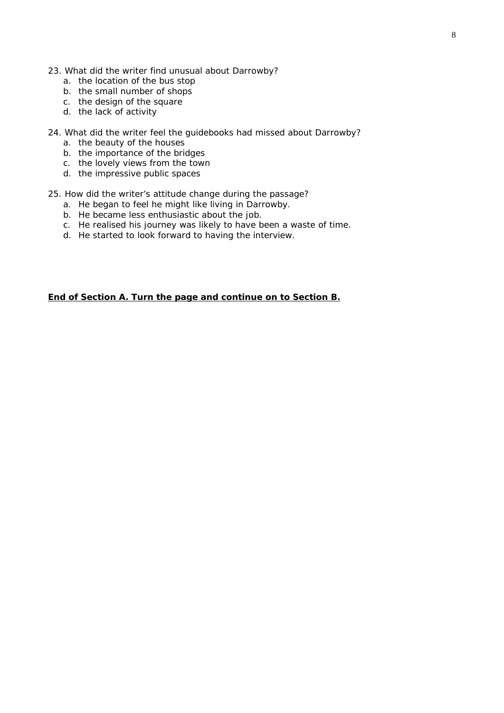- 23. What did the writer find unusual about Darrowby?
	- a. the location of the bus stop
	- b. the small number of shops
	- c. the design of the square
	- d. the lack of activity
- 24. What did the writer feel the guidebooks had missed about Darrowby?
	- a. the beauty of the houses
	- b. the importance of the bridges
	- c. the lovely views from the town
	- d. the impressive public spaces
- 25. How did the writer's attitude change during the passage?
	- a. He began to feel he might like living in Darrowby.
	- b. He became less enthusiastic about the job.
	- c. He realised his journey was likely to have been a waste of time.
	- d. He started to look forward to having the interview.

**End of Section A. Turn the page and continue on to Section B.**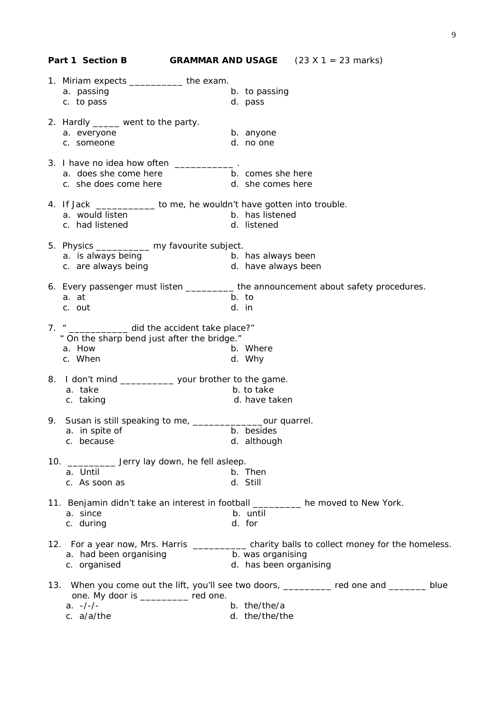|     | Part 1 Section B                                                                                                                |                        | <b>GRAMMAR AND USAGE</b> $(23 \times 1 = 23 \text{ marks})$                                 |
|-----|---------------------------------------------------------------------------------------------------------------------------------|------------------------|---------------------------------------------------------------------------------------------|
|     | 1. Miriam expects ____________the exam.                                                                                         |                        |                                                                                             |
|     | a. passing                                                                                                                      | b. to passing          |                                                                                             |
|     | c. to pass                                                                                                                      | d. pass                |                                                                                             |
|     |                                                                                                                                 |                        |                                                                                             |
|     | 2. Hardly _____ went to the party.                                                                                              |                        |                                                                                             |
|     | a. everyone                                                                                                                     | b. anyone              |                                                                                             |
|     | c. someone                                                                                                                      | d. no one              |                                                                                             |
|     |                                                                                                                                 |                        |                                                                                             |
|     | 3. I have no idea how often ____________.                                                                                       |                        |                                                                                             |
|     | a. does she come here b. comes she here                                                                                         |                        |                                                                                             |
|     | c. she does come here d. she comes here                                                                                         |                        |                                                                                             |
|     | 4. If Jack _____________ to me, he wouldn't have gotten into trouble.                                                           |                        |                                                                                             |
|     | a. would listen                                                                                                                 | b. has listened        |                                                                                             |
|     | c. had listened                                                                                                                 | d. listened            |                                                                                             |
|     |                                                                                                                                 |                        |                                                                                             |
|     | 5. Physics _________ my favourite subject.                                                                                      |                        |                                                                                             |
|     |                                                                                                                                 |                        |                                                                                             |
|     | a. is always being b. has always been<br>c. are always being b. have always been<br>d. have always been                         | d. have always been    |                                                                                             |
|     |                                                                                                                                 |                        |                                                                                             |
|     | 6. Every passenger must listen __________ the announcement about safety procedures.                                             |                        |                                                                                             |
|     | a. at                                                                                                                           | b. to                  |                                                                                             |
|     | c. out                                                                                                                          | d. in                  |                                                                                             |
|     |                                                                                                                                 |                        |                                                                                             |
|     | 7. " ______________ did the accident take place?"<br>" On the sharp bend just after the bridge."                                |                        |                                                                                             |
|     | a. How                                                                                                                          | b. Where               |                                                                                             |
|     | c. When                                                                                                                         | d. Why                 |                                                                                             |
|     |                                                                                                                                 |                        |                                                                                             |
|     | 8. I don't mind _______________ your brother to the game.                                                                       |                        |                                                                                             |
|     | a. take                                                                                                                         | b. to take             |                                                                                             |
|     | c. taking                                                                                                                       | d. have taken          |                                                                                             |
|     |                                                                                                                                 |                        |                                                                                             |
|     | 9. Susan is still speaking to me, ________________our quarrel.                                                                  |                        |                                                                                             |
|     | a. in spite of                                                                                                                  | b. besides             |                                                                                             |
|     | c. because                                                                                                                      | d. although            |                                                                                             |
| 10. | _____________ Jerry lay down, he fell asleep.                                                                                   |                        |                                                                                             |
|     | a. Until                                                                                                                        | b. Then                |                                                                                             |
|     | c. As soon as                                                                                                                   | d. Still               |                                                                                             |
|     |                                                                                                                                 |                        |                                                                                             |
|     | 11. Benjamin didn't take an interest in football _________ he moved to New York.                                                |                        |                                                                                             |
|     | a. since                                                                                                                        | b. until               |                                                                                             |
|     | c. during                                                                                                                       | d. for                 |                                                                                             |
|     |                                                                                                                                 |                        |                                                                                             |
|     |                                                                                                                                 |                        | 12. For a year now, Mrs. Harris __________ charity balls to collect money for the homeless. |
|     | a. had been organising                                                                                                          | b. was organising      |                                                                                             |
|     | c. organised                                                                                                                    | d. has been organising |                                                                                             |
|     |                                                                                                                                 |                        |                                                                                             |
|     | 13. When you come out the lift, you'll see two doors, _________ red one and _______ blue<br>one. My door is __________ red one. |                        |                                                                                             |
|     | $a. -/-/-$                                                                                                                      | b. the/the/a           |                                                                                             |
|     | c. a/a/the                                                                                                                      | d. the/the/the         |                                                                                             |
|     |                                                                                                                                 |                        |                                                                                             |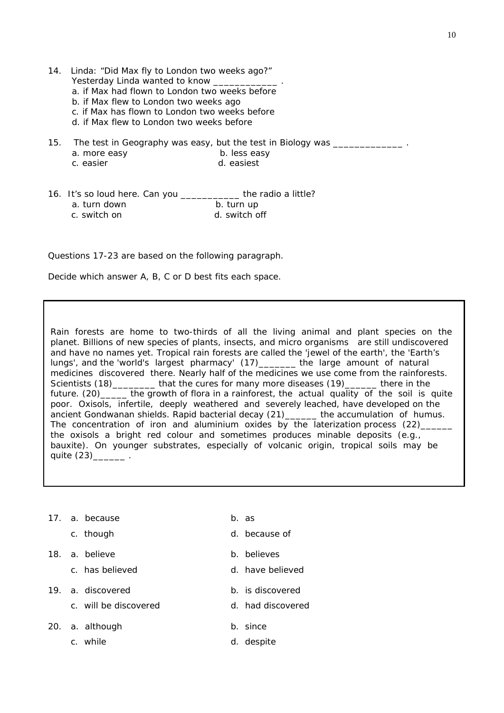- 14. Linda: "Did Max fly to London two weeks ago?" Yesterday Linda wanted to know
	- a. if Max had flown to London two weeks before
	- b. if Max flew to London two weeks ago
	- c. if Max has flown to London two weeks before
	- d. if Max flew to London two weeks before
- 15. The test in Geography was easy, but the test in Biology was \_\_\_\_\_\_\_\_\_\_\_\_\_\_\_ a. more easy b. less easy
	- c. easier d. easiest
- 16. It's so loud here. Can you \_\_\_\_\_\_\_\_\_\_\_ the radio a little? a. turn down b. turn up c. switch on d. switch off

Questions 17-23 are based on the following paragraph.

Decide which answer A, B, C or D best fits each space.

the oxisols a bright red colour and sometimes produces minable deposits (e.g., Rain forests are home to two-thirds of all the living animal and plant species on the planet. Billions of new species of plants, insects, and micro organisms are still undiscovered and have no names yet. Tropical rain forests are called the 'jewel of the earth', the 'Earth's lungs', and the 'world's largest pharmacy' (17)\_\_\_\_\_\_\_ the large amount of natural medicines discovered there. Nearly half of the medicines we use come from the rainforests. Scientists (18)\_\_\_\_\_\_\_\_ that the cures for many more diseases (19)\_\_\_\_\_\_ there in the future.  $(20)$  the growth of flora in a rainforest, the actual quality of the soil is quite poor. Oxisols, infertile, deeply weathered and severely leached, have developed on the ancient Gondwanan shields. Rapid bacterial decay (21)\_\_\_\_\_\_ the accumulation of humus. The concentration of iron and aluminium oxides by the laterization process (22) bauxite). On younger substrates, especially of volcanic origin, tropical soils may be quite  $(23)$   $\qquad \qquad$ .

- 17. a. because b. as
	-
- 18. a. believe b. believes
	-
- 19. a. discovered b. is discovered
	- c. will be discovered by a case of the discovered c.
- 20. a. although b. since
	- c. while d. despite
- 
- c. though d. because of
	-
- c. has believed believed believed
	-
	-
	-
	-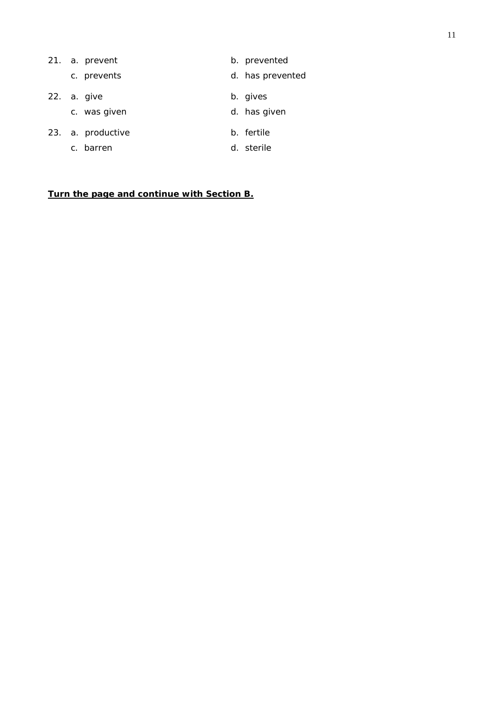|                | 21. a. prevent    | b. prevented     |
|----------------|-------------------|------------------|
|                | c. prevents       | d. has prevented |
|                | 22. a. give       | b. gives         |
|                | c. was given      | d. has given     |
|                | 23. a. productive | b. fertile       |
| C <sub>1</sub> | barren            | d. sterile       |

**Turn the page and continue with Section B.**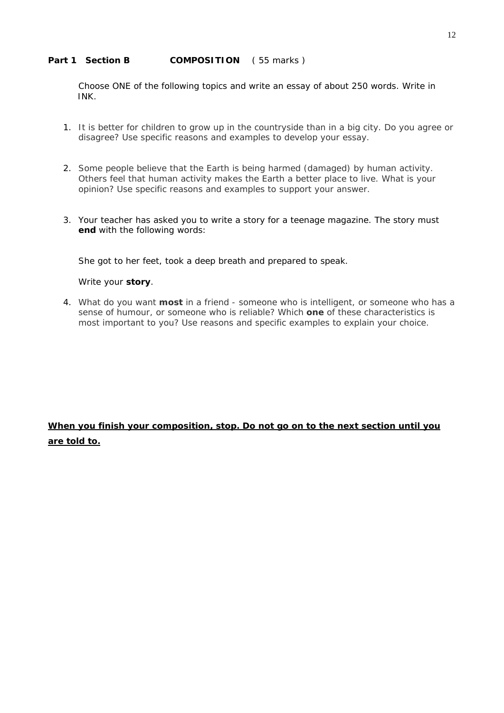# Part 1 Section B **COMPOSITION** (55 marks)

 Choose ONE of the following topics and write an essay of about 250 words. Write in INK.

- 1. It is better for children to grow up in the countryside than in a big city. Do you agree or disagree? Use specific reasons and examples to develop your essay.
- 2. Some people believe that the Earth is being harmed (damaged) by human activity. Others feel that human activity makes the Earth a better place to live. What is your opinion? Use specific reasons and examples to support your answer.
- 3. Your teacher has asked you to write a story for a teenage magazine. The story must **end** with the following words:

*She got to her feet, took a deep breath and prepared to speak.* 

# Write your **story**.

4. What do you want **most** in a friend - someone who is intelligent, or someone who has a sense of humour, or someone who is reliable? Which **one** of these characteristics is most important to you? Use reasons and specific examples to explain your choice.

# **When you finish your composition, stop. Do not go on to the next section until you are told to.**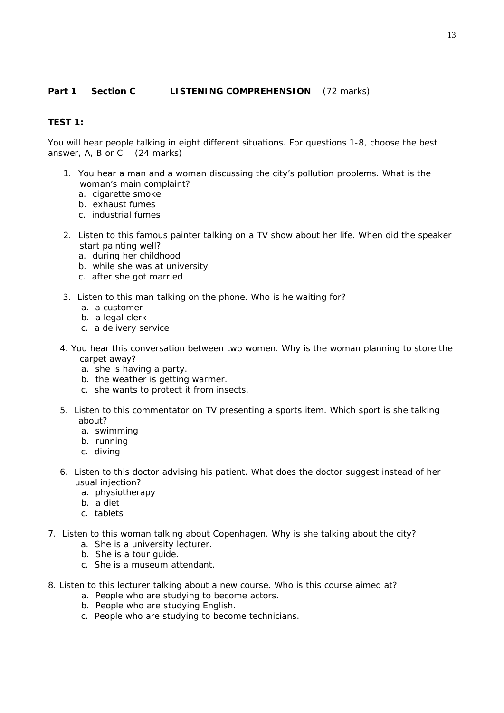# **Part 1 Section C LISTENING COMPREHENSION** (72 marks)

# **TEST 1:**

*You will hear people talking in eight different situations. For questions 1-8, choose the best answer, A, B or C. (24 marks)* 

- 1. You hear a man and a woman discussing the city's pollution problems. What is the woman's main complaint?
	- a. cigarette smoke
	- b. exhaust fumes
	- c. industrial fumes
- 2. Listen to this famous painter talking on a TV show about her life. When did the speaker start painting well?
	- a. during her childhood
	- b. while she was at university
	- c. after she got married
- 3. Listen to this man talking on the phone. Who is he waiting for?
	- a. a customer
	- b. a legal clerk
	- c. a delivery service
- 4. You hear this conversation between two women. Why is the woman planning to store the carpet away?
	- a. she is having a party.
	- b. the weather is getting warmer.
	- c. she wants to protect it from insects.
- 5. Listen to this commentator on TV presenting a sports item. Which sport is she talking about?
	- a. swimming
	- b. running
	- c. diving
- 6. Listen to this doctor advising his patient. What does the doctor suggest instead of her usual injection?
	- a. physiotherapy
	- b. a diet
	- c. tablets
- 7. Listen to this woman talking about Copenhagen. Why is she talking about the city?
	- a. She is a university lecturer.
	- b. She is a tour guide.
	- c. She is a museum attendant.
- 8. Listen to this lecturer talking about a new course. Who is this course aimed at?
	- a. People who are studying to become actors.
	- b. People who are studying English.
	- c. People who are studying to become technicians.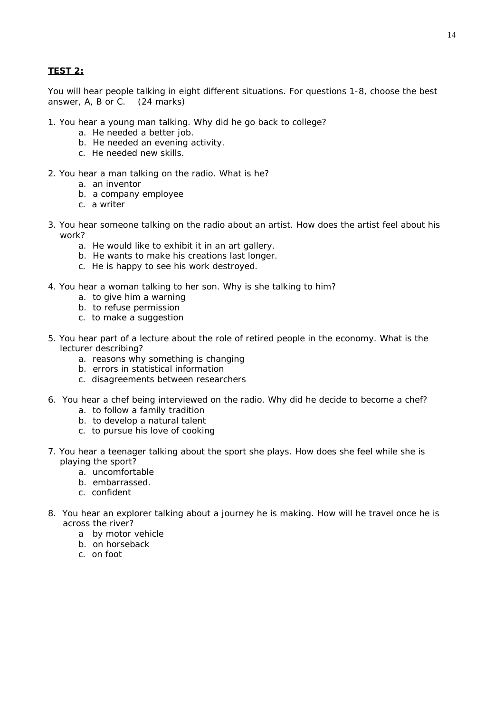## **TEST 2:**

*You will hear people talking in eight different situations. For questions 1-8, choose the best answer, A, B or C. (24 marks)* 

- 1. You hear a young man talking. Why did he go back to college?
	- a. He needed a better job.
	- b. He needed an evening activity.
	- c. He needed new skills.
- 2. You hear a man talking on the radio. What is he?
	- a. an inventor
	- b. a company employee
	- c. a writer
- 3. You hear someone talking on the radio about an artist. How does the artist feel about his work?
	- a. He would like to exhibit it in an art gallery.
	- b. He wants to make his creations last longer.
	- c. He is happy to see his work destroyed.
- 4. You hear a woman talking to her son. Why is she talking to him?
	- a. to give him a warning
	- b. to refuse permission
	- c. to make a suggestion
- 5. You hear part of a lecture about the role of retired people in the economy. What is the lecturer describing?
	- a. reasons why something is changing
	- b. errors in statistical information
	- c. disagreements between researchers
- 6. You hear a chef being interviewed on the radio. Why did he decide to become a chef?
	- a. to follow a family tradition
	- b. to develop a natural talent
	- c. to pursue his love of cooking
- 7. You hear a teenager talking about the sport she plays. How does she feel while she is playing the sport?
	- a. uncomfortable
	- b. embarrassed.
	- c. confident
- 8. You hear an explorer talking about a journey he is making. How will he travel once he is across the river?
	- a by motor vehicle
	- b. on horseback
	- c. on foot